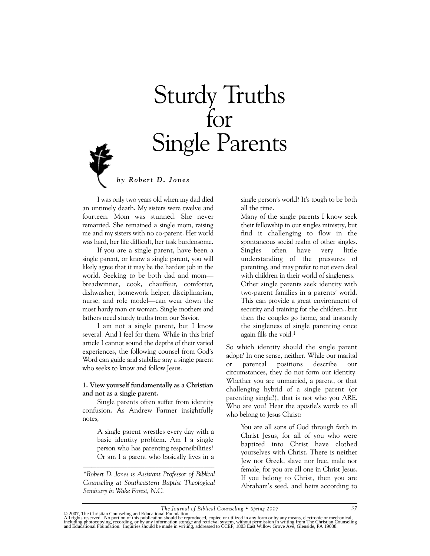# Sturdy Truths for Single Parents

*by Robert D. Jones*

I was only two years old when my dad died an untimely death. My sisters were twelve and fourteen. Mom was stunned. She never remarried. She remained a single mom, raising me and my sisters with no co-parent. Her world was hard, her life difficult, her task burdensome.

If you are a single parent, have been a single parent, or know a single parent, you will likely agree that it may be the hardest job in the world. Seeking to be both dad and mom breadwinner, cook, chauffeur, comforter, dishwasher, homework helper, disciplinarian, nurse, and role model—can wear down the most hardy man or woman. Single mothers and fathers need sturdy truths from our Savior.

I am not a single parent, but I know several. And I feel for them. While in this brief article I cannot sound the depths of their varied experiences, the following counsel from God's Word can guide and stabilize any a single parent who seeks to know and follow Jesus.

### **1. View yourself fundamentally as a Christian and not as a single parent.**

Single parents often suffer from identity confusion. As Andrew Farmer insightfully notes,

A single parent wrestles every day with a basic identity problem. Am I a single person who has parenting responsibilities? Or am I a parent who basically lives in a  $\mathcal{L}_\text{max}$  and the set of the set of the set of the set of the set of the set of the set of the set of the set of the set of the set of the set of the set of the set of the set of the set of the set of the set of the s

*\*Robert D. Jones is Assistant Professor of Biblical Counseling at Southeastern Baptist Theological Seminary in Wake Forest, N.C.*

single person's world? It's tough to be both all the time.

Many of the single parents I know seek their fellowship in our singles ministry, but find it challenging to flow in the spontaneous social realm of other singles. Singles often have very little understanding of the pressures of parenting, and may prefer to not even deal with children in their world of singleness. Other single parents seek identity with two-parent families in a parents' world. This can provide a great environment of security and training for the children...but then the couples go home, and instantly the singleness of single parenting once again fills the void.<sup>1</sup>

So which identity should the single parent adopt? In one sense, neither. While our marital or parental positions describe our circumstances, they do not form our identity. Whether you are unmarried, a parent, or that challenging hybrid of a single parent (or parenting single?), that is not who you ARE. Who are you? Hear the apostle's words to all who belong to Jesus Christ:

> You are all sons of God through faith in Christ Jesus, for all of you who were baptized into Christ have clothed yourselves with Christ. There is neither Jew nor Greek, slave nor free, male nor female, for you are all one in Christ Jesus. If you belong to Christ, then you are Abraham's seed, and heirs according to

*The Journal of Biblical Counseling • Spring 2007 37*

<sup>© 2007,</sup> The Christian Counseling and Educational Foundation<br>All rights reserved. No portion of this publication should be reproduced, copied or utilized in any form or by any means, electronic or mechanical,<br>including phot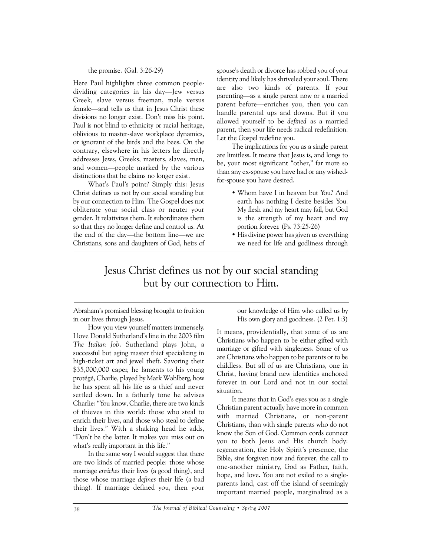the promise. (Gal. 3:26-29)

Here Paul highlights three common peopledividing categories in his day—Jew versus Greek, slave versus freeman, male versus female—and tells us that in Jesus Christ these divisions no longer exist. Don't miss his point. Paul is not blind to ethnicity or racial heritage, oblivious to master-slave workplace dynamics, or ignorant of the birds and the bees. On the contrary, elsewhere in his letters he directly addresses Jews, Greeks, masters, slaves, men, and women—people marked by the various distinctions that he claims no longer exist.

What's Paul's point? Simply this: Jesus Christ defines us not by our social standing but by our connection to Him. The Gospel does not obliterate your social class or neuter your gender. It relativizes them. It subordinates them so that they no longer define and control us. At the end of the day—the bottom line—we are Christians, sons and daughters of God, heirs of spouse's death or divorce has robbed you of your identity and likely has shriveled your soul. There are also two kinds of parents. If your parenting—as a single parent now or a married parent before—enriches you, then you can handle parental ups and downs. But if you allowed yourself to be *defined* as a married parent, then your life needs radical redefinition. Let the Gospel redefine you.

The implications for you as a single parent are limitless. It means that Jesus is, and longs to be, your most significant "other," far more so than any ex-spouse you have had or any wishedfor-spouse you have desired.

- Whom have I in heaven but You? And earth has nothing I desire besides You. My flesh and my heart may fail, but God is the strength of my heart and my portion forever. (Ps. 73:25-26)
- His divine power has given us everything we need for life and godliness through

# Jesus Christ defines us not by our social standing but by our connection to Him.

Abraham's promised blessing brought to fruition in our lives through Jesus.

How you view yourself matters immensely. I love Donald Sutherland's line in the 2003 film *The Italian Job*. Sutherland plays John, a successful but aging master thief specializing in high-ticket art and jewel theft. Savoring their \$35,000,000 caper, he laments to his young protégé, Charlie, played by Mark Wahlberg, how he has spent all his life as a thief and never settled down. In a fatherly tone he advises Charlie: "You know, Charlie, there are two kinds of thieves in this world: those who steal to enrich their lives, and those who steal to define their lives." With a shaking head he adds, "Don't be the latter. It makes you miss out on what's really important in this life."

In the same way I would suggest that there are two kinds of married people: those whose marriage *enriches* their lives (a good thing), and those whose marriage *defines* their life (a bad thing). If marriage defined you, then your our knowledge of Him who called us by His own glory and goodness. (2 Pet. 1:3)

It means, providentially, that some of us are Christians who happen to be either gifted with marriage or gifted with singleness. Some of us are Christians who happen to be parents or to be childless. But all of us are Christians, one in Christ, having brand new identities anchored forever in our Lord and not in our social situation.

It means that in God's eyes you as a single Christian parent actually have more in common with married Christians, or non-parent Christians, than with single parents who do not know the Son of God. Common cords connect you to both Jesus and His church body: regeneration, the Holy Spirit's presence, the Bible, sins forgiven now and forever, the call to one-another ministry, God as Father, faith, hope, and love. You are not exiled to a singleparents land, cast off the island of seemingly important married people, marginalized as a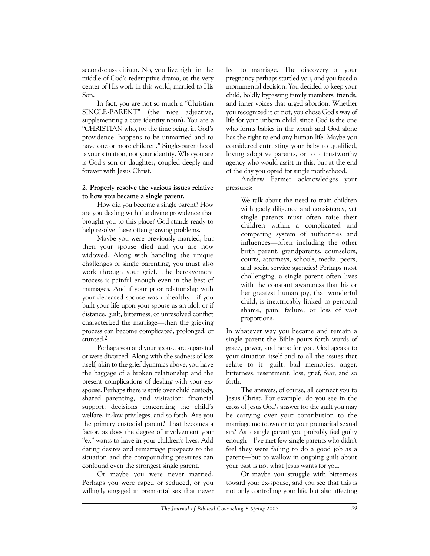second-class citizen. No, you live right in the middle of God's redemptive drama, at the very center of His work in this world, married to His Son.

In fact, you are not so much a "Christian SINGLE-PARENT" (the nice adjective, supplementing a core identity noun). You are a "CHRISTIAN who, for the time being, in God's providence, happens to be unmarried and to have one or more children." Single-parenthood is your situation, not your identity. Who you are is God's son or daughter, coupled deeply and forever with Jesus Christ.

#### **2. Properly resolve the various issues relative to how you became a single parent.**

How did you become a single parent? How are you dealing with the divine providence that brought you to this place? God stands ready to help resolve these often gnawing problems.

Maybe you were previously married, but then your spouse died and you are now widowed. Along with handling the unique challenges of single parenting, you must also work through your grief. The bereavement process is painful enough even in the best of marriages. And if your prior relationship with your deceased spouse was unhealthy—if you built your life upon your spouse as an idol, or if distance, guilt, bitterness, or unresolved conflict characterized the marriage—then the grieving process can become complicated, prolonged, or stunted.2

Perhaps you and your spouse are separated or were divorced. Along with the sadness of loss itself, akin to the grief dynamics above, you have the baggage of a broken relationship and the present complications of dealing with your exspouse. Perhaps there is strife over child custody, shared parenting, and visitation; financial support; decisions concerning the child's welfare, in-law privileges, and so forth. Are you the primary custodial parent? That becomes a factor, as does the degree of involvement your "ex" wants to have in your children's lives. Add dating desires and remarriage prospects to the situation and the compounding pressures can confound even the strongest single parent.

Or maybe you were never married. Perhaps you were raped or seduced, or you willingly engaged in premarital sex that never led to marriage. The discovery of your pregnancy perhaps startled you, and you faced a monumental decision. You decided to keep your child, boldly bypassing family members, friends, and inner voices that urged abortion. Whether you recognized it or not, you chose God's way of life for your unborn child, since God is the one who forms babies in the womb and God alone has the right to end any human life. Maybe you considered entrusting your baby to qualified, loving adoptive parents, or to a trustworthy agency who would assist in this, but at the end of the day you opted for single motherhood.

Andrew Farmer acknowledges your pressures:

> We talk about the need to train children with godly diligence and consistency, yet single parents must often raise their children within a complicated and competing system of authorities and influences—often including the other birth parent, grandparents, counselors, courts, attorneys, schools, media, peers, and social service agencies! Perhaps most challenging, a single parent often lives with the constant awareness that his or her greatest human joy, that wonderful child, is inextricably linked to personal shame, pain, failure, or loss of vast proportions.

In whatever way you became and remain a single parent the Bible pours forth words of grace, power, and hope for you. God speaks to your situation itself and to all the issues that relate to it—guilt, bad memories, anger, bitterness, resentment, loss, grief, fear, and so forth.

The answers, of course, all connect you to Jesus Christ. For example, do you see in the cross of Jesus God's answer for the guilt you may be carrying over your contribution to the marriage meltdown or to your premarital sexual sin? As a single parent you probably feel guilty enough—I've met few single parents who didn't feel they were failing to do a good job as a parent—but to wallow in ongoing guilt about your past is not what Jesus wants for you.

Or maybe you struggle with bitterness toward your ex-spouse, and you see that this is not only controlling your life, but also affecting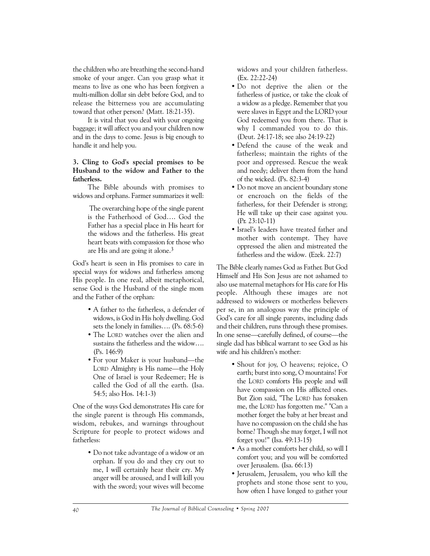the children who are breathing the second-hand smoke of your anger. Can you grasp what it means to live as one who has been forgiven a multi-million dollar sin debt before God, and to release the bitterness you are accumulating toward that other person? (Matt. 18:21-35).

It is vital that you deal with your ongoing baggage; it will affect you and your children now and in the days to come. Jesus is big enough to handle it and help you.

# **3. Cling to God's special promises to be Husband to the widow and Father to the fatherless.**

The Bible abounds with promises to widows and orphans. Farmer summarizes it well:

> The overarching hope of the single parent is the Fatherhood of God…. God the Father has a special place in His heart for the widows and the fatherless. His great heart beats with compassion for those who are His and are going it alone.3

God's heart is seen in His promises to care in special ways for widows and fatherless among His people. In one real, albeit metaphorical, sense God is the Husband of the single mom and the Father of the orphan:

- A father to the fatherless, a defender of widows, is God in His holy dwelling. God sets the lonely in families…. (Ps. 68:5-6)
- The LORD watches over the alien and sustains the fatherless and the widow…. (Ps. 146:9)
- For your Maker is your husband—the LORD Almighty is His name—the Holy One of Israel is your Redeemer; He is called the God of all the earth. (Isa. 54:5; also Hos. 14:1-3)

One of the ways God demonstrates His care for the single parent is through His commands, wisdom, rebukes, and warnings throughout Scripture for people to protect widows and fatherless:

> • Do not take advantage of a widow or an orphan. If you do and they cry out to me, I will certainly hear their cry. My anger will be aroused, and I will kill you with the sword; your wives will become

widows and your children fatherless. (Ex. 22:22-24)

- Do not deprive the alien or the fatherless of justice, or take the cloak of a widow as a pledge. Remember that you were slaves in Egypt and the LORD your God redeemed you from there. That is why I commanded you to do this. (Deut. 24:17-18; see also 24:19-22)
- Defend the cause of the weak and fatherless; maintain the rights of the poor and oppressed. Rescue the weak and needy; deliver them from the hand of the wicked. (Ps. 82:3-4)
- Do not move an ancient boundary stone or encroach on the fields of the fatherless, for their Defender is strong; He will take up their case against you. (Pr. 23:10-11)
- Israel's leaders have treated father and mother with contempt. They have oppressed the alien and mistreated the fatherless and the widow. (Ezek. 22:7)

The Bible clearly names God as Father. But God Himself and His Son Jesus are not ashamed to also use maternal metaphors for His care for His people. Although these images are not addressed to widowers or motherless believers per se, in an analogous way the principle of God's care for all single parents, including dads and their children, runs through these promises. In one sense—carefully defined, of course—the single dad has biblical warrant to see God as his wife and his children's mother:

- Shout for joy, O heavens; rejoice, O earth; burst into song, O mountains! For the LORD comforts His people and will have compassion on His afflicted ones. But Zion said, "The LORD has forsaken me, the LORD has forgotten me." "Can a mother forget the baby at her breast and have no compassion on the child she has borne? Though she may forget, I will not forget you!" (Isa. 49:13-15)
- As a mother comforts her child, so will I comfort you; and you will be comforted over Jerusalem. (Isa. 66:13)
- Jerusalem, Jerusalem, you who kill the prophets and stone those sent to you, how often I have longed to gather your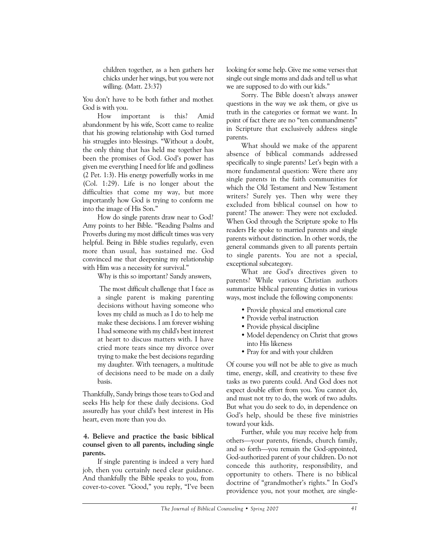children together, as a hen gathers her chicks under her wings, but you were not willing. (Matt. 23:37)

You don't have to be both father and mother. God is with you.

How important is this? Amid abandonment by his wife, Scott came to realize that his growing relationship with God turned his struggles into blessings. "Without a doubt, the only thing that has held me together has been the promises of God. God's power has given me everything I need for life and godliness (2 Pet. 1:3). His energy powerfully works in me (Col. 1:29). Life is no longer about the difficulties that come my way, but more importantly how God is trying to conform me into the image of His Son."

How do single parents draw near to God? Amy points to her Bible. "Reading Psalms and Proverbs during my most difficult times was very helpful. Being in Bible studies regularly, even more than usual, has sustained me. God convinced me that deepening my relationship with Him was a necessity for survival."

Why is this so important? Sandy answers,

The most difficult challenge that I face as a single parent is making parenting decisions without having someone who loves my child as much as I do to help me make these decisions. I am forever wishing I had someone with my child's best interest at heart to discuss matters with. I have cried more tears since my divorce over trying to make the best decisions regarding my daughter. With teenagers, a multitude of decisions need to be made on a daily basis.

Thankfully, Sandy brings those tears to God and seeks His help for these daily decisions. God assuredly has your child's best interest in His heart, even more than you do.

# **4. Believe and practice the basic biblical counsel given to all parents, including single parents.**

If single parenting is indeed a very hard job, then you certainly need clear guidance. And thankfully the Bible speaks to you, from cover-to-cover. "Good," you reply, "I've been

looking for some help. Give me some verses that single out single moms and dads and tell us what we are supposed to do with our kids."

Sorry. The Bible doesn't always answer questions in the way we ask them, or give us truth in the categories or format we want. In point of fact there are no "ten commandments" in Scripture that exclusively address single parents.

What should we make of the apparent absence of biblical commands addressed specifically to single parents? Let's begin with a more fundamental question: Were there any single parents in the faith communities for which the Old Testament and New Testament writers? Surely yes. Then why were they excluded from biblical counsel on how to parent? The answer: They were not excluded. When God through the Scripture spoke to His readers He spoke to married parents and single parents without distinction. In other words, the general commands given to all parents pertain to single parents. You are not a special, exceptional subcategory.

What are God's directives given to parents? While various Christian authors summarize biblical parenting duties in various ways, most include the following components:

- Provide physical and emotional care
- Provide verbal instruction
- Provide physical discipline
- Model dependency on Christ that grows into His likeness
- Pray for and with your children

Of course you will not be able to give as much time, energy, skill, and creativity to these five tasks as two parents could. And God does not expect double effort from you. You cannot do, and must not try to do, the work of two adults. But what you do seek to do, in dependence on God's help, should be these five ministries toward your kids.

Further, while you may receive help from others—your parents, friends, church family, and so forth—you remain the God-appointed, God-authorized parent of your children. Do not concede this authority, responsibility, and opportunity to others. There is no biblical doctrine of "grandmother's rights." In God's providence you, not your mother, are single-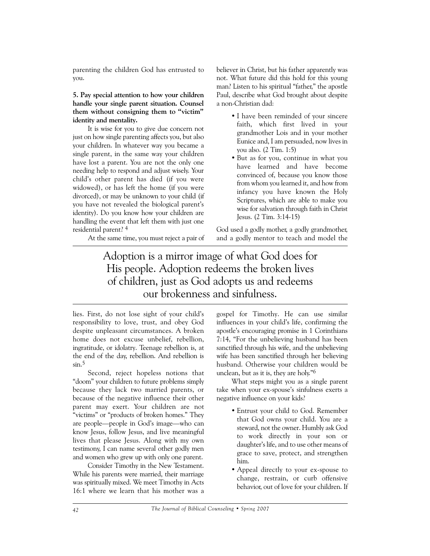parenting the children God has entrusted to you.

# **5. Pay special attention to how your children handle your single parent situation. Counsel them without consigning them to "victim" identity and mentality.**

It is wise for you to give due concern not just on how single parenting affects you, but also your children. In whatever way you became a single parent, in the same way your children have lost a parent. You are not the only one needing help to respond and adjust wisely. Your child's other parent has died (if you were widowed), or has left the home (if you were divorced), or may be unknown to your child (if you have not revealed the biological parent's identity). Do you know how your children are handling the event that left them with just one residential parent? 4

At the same time, you must reject a pair of

believer in Christ, but his father apparently was not. What future did this hold for this young man? Listen to his spiritual "father," the apostle Paul, describe what God brought about despite a non-Christian dad:

- I have been reminded of your sincere faith, which first lived in your grandmother Lois and in your mother Eunice and, I am persuaded, now lives in you also. (2 Tim. 1:5)
- But as for you, continue in what you have learned and have become convinced of, because you know those from whom you learned it, and how from infancy you have known the Holy Scriptures, which are able to make you wise for salvation through faith in Christ Jesus. (2 Tim. 3:14-15)

God used a godly mother, a godly grandmother, and a godly mentor to teach and model the

# Adoption is a mirror image of what God does for His people. Adoption redeems the broken lives of children, just as God adopts us and redeems our brokenness and sinfulness.

lies. First, do not lose sight of your child's responsibility to love, trust, and obey God despite unpleasant circumstances. A broken home does not excuse unbelief, rebellion, ingratitude, or idolatry. Teenage rebellion is, at the end of the day, rebellion. And rebellion is sin.5

Second, reject hopeless notions that "doom" your children to future problems simply because they lack two married parents, or because of the negative influence their other parent may exert. Your children are not "victims" or "products of broken homes." They are people—people in God's image—who can know Jesus, follow Jesus, and live meaningful lives that please Jesus. Along with my own testimony, I can name several other godly men and women who grew up with only one parent.

Consider Timothy in the New Testament. While his parents were married, their marriage was spiritually mixed. We meet Timothy in Acts 16:1 where we learn that his mother was a

gospel for Timothy. He can use similar influences in your child's life, confirming the apostle's encouraging promise in 1 Corinthians 7:14, "For the unbelieving husband has been sanctified through his wife, and the unbelieving wife has been sanctified through her believing husband. Otherwise your children would be unclean, but as it is, they are holy."6

What steps might you as a single parent take when your ex-spouse's sinfulness exerts a negative influence on your kids?

- Entrust your child to God. Remember that God owns your child. You are a steward, not the owner. Humbly ask God to work directly in your son or daughter's life, and to use other means of grace to save, protect, and strengthen him.
- Appeal directly to your ex-spouse to change, restrain, or curb offensive behavior, out of love for your children. If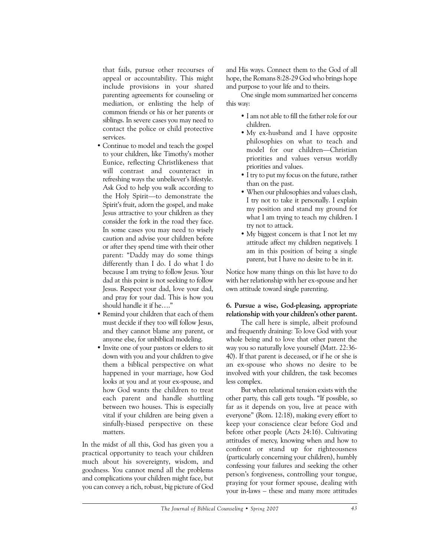that fails, pursue other recourses of appeal or accountability. This might include provisions in your shared parenting agreements for counseling or mediation, or enlisting the help of common friends or his or her parents or siblings. In severe cases you may need to contact the police or child protective services.

- Continue to model and teach the gospel to your children, like Timothy's mother Eunice, reflecting Christlikeness that will contrast and counteract in refreshing ways the unbeliever's lifestyle. Ask God to help you walk according to the Holy Spirit—to demonstrate the Spirit's fruit, adorn the gospel, and make Jesus attractive to your children as they consider the fork in the road they face. In some cases you may need to wisely caution and advise your children before or after they spend time with their other parent: "Daddy may do some things differently than I do. I do what I do because I am trying to follow Jesus. Your dad at this point is not seeking to follow Jesus. Respect your dad, love your dad, and pray for your dad. This is how you should handle it if he…."
- Remind your children that each of them must decide if they too will follow Jesus, and they cannot blame any parent, or anyone else, for unbiblical modeling.
- Invite one of your pastors or elders to sit down with you and your children to give them a biblical perspective on what happened in your marriage, how God looks at you and at your ex-spouse, and how God wants the children to treat each parent and handle shuttling between two houses. This is especially vital if your children are being given a sinfully-biased perspective on these matters.

In the midst of all this, God has given you a practical opportunity to teach your children much about his sovereignty, wisdom, and goodness. You cannot mend all the problems and complications your children might face, but you can convey a rich, robust, big picture of God and His ways. Connect them to the God of all hope, the Romans 8:28-29 God who brings hope and purpose to your life and to theirs.

One single mom summarized her concerns this way:

- I am not able to fill the father role for our children.
- My ex-husband and I have opposite philosophies on what to teach and model for our children—Christian priorities and values versus worldly priorities and values.
- I try to put my focus on the future, rather than on the past.
- When our philosophies and values clash, I try not to take it personally. I explain my position and stand my ground for what I am trying to teach my children. I try not to attack.
- My biggest concern is that I not let my attitude affect my children negatively. I am in this position of being a single parent, but I have no desire to be in it.

Notice how many things on this list have to do with her relationship with her ex-spouse and her own attitude toward single parenting.

# **6. Pursue a wise, God-pleasing, appropriate relationship with your children's other parent.**

The call here is simple, albeit profound and frequently draining: To love God with your whole being and to love that other parent the way you so naturally love yourself (Matt. 22:36- 40). If that parent is deceased, or if he or she is an ex-spouse who shows no desire to be involved with your children, the task becomes less complex.

But when relational tension exists with the other party, this call gets tough. "If possible, so far as it depends on you, live at peace with everyone" (Rom. 12:18), making every effort to keep your conscience clear before God and before other people (Acts 24:16). Cultivating attitudes of mercy, knowing when and how to confront or stand up for righteousness (particularly concerning your children), humbly confessing your failures and seeking the other person's forgiveness, controlling your tongue, praying for your former spouse, dealing with your in-laws – these and many more attitudes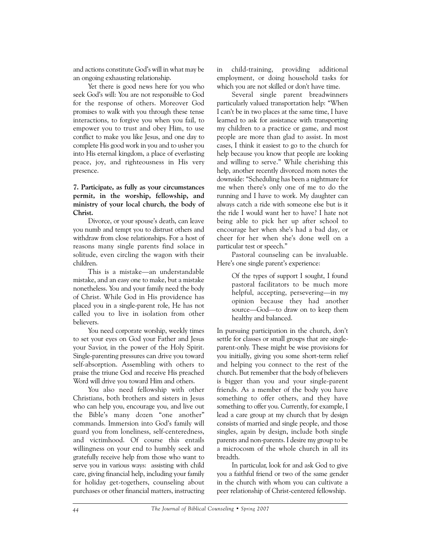and actions constitute God's will in what may be an ongoing exhausting relationship.

Yet there is good news here for you who seek God's will: You are not responsible to God for the response of others. Moreover God promises to walk with you through these tense interactions, to forgive you when you fail, to empower you to trust and obey Him, to use conflict to make you like Jesus, and one day to complete His good work in you and to usher you into His eternal kingdom, a place of everlasting peace, joy, and righteousness in His very presence.

# **7. Participate, as fully as your circumstances permit, in the worship, fellowship, and ministry of your local church, the body of Christ.**

Divorce, or your spouse's death, can leave you numb and tempt you to distrust others and withdraw from close relationships. For a host of reasons many single parents find solace in solitude, even circling the wagon with their children.

This is a mistake—an understandable mistake, and an easy one to make, but a mistake nonetheless. You and your family need the body of Christ. While God in His providence has placed you in a single-parent role, He has not called you to live in isolation from other believers.

You need corporate worship, weekly times to set your eyes on God your Father and Jesus your Savior, in the power of the Holy Spirit. Single-parenting pressures can drive you toward self-absorption. Assembling with others to praise the triune God and receive His preached Word will drive you toward Him and others.

You also need fellowship with other Christians, both brothers and sisters in Jesus who can help you, encourage you, and live out the Bible's many dozen "one another" commands. Immersion into God's family will guard you from loneliness, self-centeredness, and victimhood. Of course this entails willingness on your end to humbly seek and gratefully receive help from those who want to serve you in various ways: assisting with child care, giving financial help, including your family for holiday get-togethers, counseling about purchases or other financial matters, instructing in child-training, providing additional employment, or doing household tasks for which you are not skilled or don't have time.

Several single parent breadwinners particularly valued transportation help: "When I can't be in two places at the same time, I have learned to ask for assistance with transporting my children to a practice or game, and most people are more than glad to assist. In most cases, I think it easiest to go to the church for help because you know that people are looking and willing to serve." While cherishing this help, another recently divorced mom notes the downside: "Scheduling has been a nightmare for me when there's only one of me to do the running and I have to work. My daughter can always catch a ride with someone else but is it the ride I would want her to have? I hate not being able to pick her up after school to encourage her when she's had a bad day, or cheer for her when she's done well on a particular test or speech."

Pastoral counseling can be invaluable. Here's one single parent's experience:

> Of the types of support I sought, I found pastoral facilitators to be much more helpful, accepting, persevering—in my opinion because they had another source—God—to draw on to keep them healthy and balanced.

In pursuing participation in the church, don't settle for classes or small groups that are singleparent-only. These might be wise provisions for you initially, giving you some short-term relief and helping you connect to the rest of the church. But remember that the body of believers is bigger than you and your single-parent friends. As a member of the body you have something to offer others, and they have something to offer you. Currently, for example, I lead a care group at my church that by design consists of married and single people, and those singles, again by design, include both single parents and non-parents. I desire my group to be a microcosm of the whole church in all its breadth.

In particular, look for and ask God to give you a faithful friend or two of the same gender in the church with whom you can cultivate a peer relationship of Christ-centered fellowship.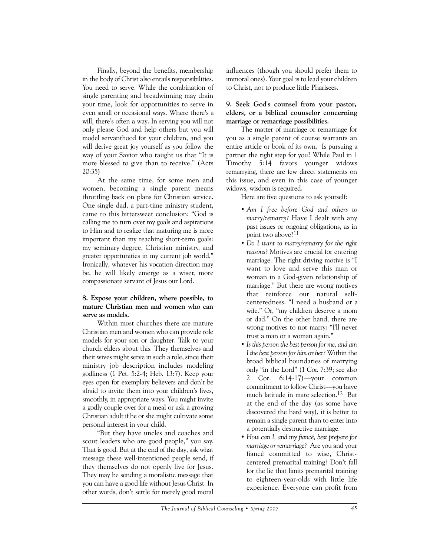Finally, beyond the benefits, membership in the body of Christ also entails responsibilities. You need to serve. While the combination of single parenting and breadwinning may drain your time, look for opportunities to serve in even small or occasional ways. Where there's a will, there's often a way. In serving you will not only please God and help others but you will model servanthood for your children, and you will derive great joy yourself as you follow the way of your Savior who taught us that "It is more blessed to give than to receive." (Acts 20:35)

At the same time, for some men and women, becoming a single parent means throttling back on plans for Christian service. One single dad, a part-time ministry student, came to this bittersweet conclusion: "God is calling me to turn over my goals and aspirations to Him and to realize that maturing me is more important than my reaching short-term goals: my seminary degree, Christian ministry, and greater opportunities in my current job world." Ironically, whatever his vocation direction may be, he will likely emerge as a wiser, more compassionate servant of Jesus our Lord.

### **8. Expose your children, where possible, to mature Christian men and women who can serve as models.**

Within most churches there are mature Christian men and women who can provide role models for your son or daughter. Talk to your church elders about this. They themselves and their wives might serve in such a role, since their ministry job description includes modeling godliness (1 Pet. 5:2-4; Heb. 13:7). Keep your eyes open for exemplary believers and don't be afraid to invite them into your children's lives, smoothly, in appropriate ways. You might invite a godly couple over for a meal or ask a growing Christian adult if he or she might cultivate some personal interest in your child.

"But they have uncles and coaches and scout leaders who are good people," you say. That is good. But at the end of the day, ask what message these well-intentioned people send, if they themselves do not openly live for Jesus. They may be sending a moralistic message that you can have a good life without Jesus Christ. In other words, don't settle for merely good moral

influences (though you should prefer them to immoral ones). Your goal is to lead your children to Christ, not to produce little Pharisees.

### **9. Seek God's counsel from your pastor, elders, or a biblical counselor concerning marriage or remarriage possibilities.**

The matter of marriage or remarriage for you as a single parent of course warrants an entire article or book of its own. Is pursuing a partner the right step for you? While Paul in 1 Timothy 5:14 favors younger widows remarrying, there are few direct statements on this issue, and even in this case of younger widows, wisdom is required.

Here are five questions to ask yourself:

- *Am I free before God and others to marry/remarry?* Have I dealt with any past issues or ongoing obligations, as in point two above?11
- *Do I want to marry/remarry for the right reasons?* Motives are crucial for entering marriage. The right driving motive is "I want to love and serve this man or woman in a God-given relationship of marriage." But there are wrong motives that reinforce our natural selfcenteredness: "I need a husband or a wife." Or, "my children deserve a mom or dad." On the other hand, there are wrong motives to not marry: "I'll never trust a man or a woman again."
- *Is this person the best person for me, and am I the best person for him or her?* Within the broad biblical boundaries of marrying only "in the Lord" (1 Cor. 7:39; see also 2 Cor. 6:14-17)—your common commitment to follow Christ—you have much latitude in mate selection.12 But at the end of the day (as some have discovered the hard way), it is better to remain a single parent than to enter into a potentially destructive marriage.
- *How can I, and my fiancé, best prepare for marriage or remarriage?* Are you and your fiancé committed to wise, Christcentered premarital training? Don't fall for the lie that limits premarital training to eighteen-year-olds with little life experience. Everyone can profit from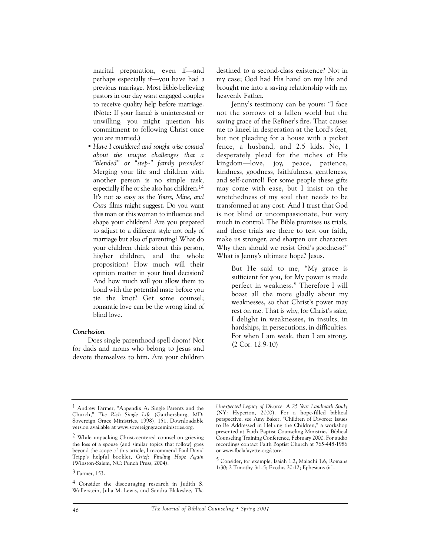marital preparation, even if—and perhaps especially if—you have had a previous marriage. Most Bible-believing pastors in our day want engaged couples to receive quality help before marriage. (Note: If your fiancé is uninterested or unwilling, you might question his commitment to following Christ once you are married.)

• *Have I considered and sought wise counsel about the unique challenges that a "blended" or "step-" family provides?* Merging your life and children with another person is no simple task, especially if he or she also has children.14 It's not as easy as the *Yours, Mine, and Ours* films might suggest. Do you want this man or this woman to influence and shape your children? Are you prepared to adjust to a different style not only of marriage but also of parenting? What do your children think about this person, his/her children, and the whole proposition? How much will their opinion matter in your final decision? And how much will you allow them to bond with the potential mate before you tie the knot? Get some counsel; romantic love can be the wrong kind of blind love.

### *Conclusion*

Does single parenthood spell doom? Not for dads and moms who belong to Jesus and devote themselves to him. Are your children destined to a second-class existence? Not in my case; God had His hand on my life and brought me into a saving relationship with my heavenly Father.

Jenny's testimony can be yours: "I face not the sorrows of a fallen world but the saving grace of the Refiner's fire. That causes me to kneel in desperation at the Lord's feet, but not pleading for a house with a picket fence, a husband, and 2.5 kids. No, I desperately plead for the riches of His kingdom—love, joy, peace, patience, kindness, goodness, faithfulness, gentleness, and self-control! For some people these gifts may come with ease, but I insist on the wretchedness of my soul that needs to be transformed at any cost. And I trust that God is not blind or uncompassionate, but very much in control. The Bible promises us trials, and these trials are there to test our faith, make us stronger, and sharpen our character. Why then should we resist God's goodness?" What is Jenny's ultimate hope? Jesus.

> But He said to me, "My grace is sufficient for you, for My power is made perfect in weakness." Therefore I will boast all the more gladly about my weaknesses, so that Christ's power may rest on me. That is why, for Christ's sake, I delight in weaknesses, in insults, in hardships, in persecutions, in difficulties. For when I am weak, then I am strong. (2 Cor. 12:9-10)

*Unexpected Legacy of Divorce: A 25 Year Landmark Study* (NY: Hyperion, 2000). For a hope-filled biblical perspective, see Amy Baker, "Children of Divorce: Issues to Be Addressed in Helping the Children," a workshop presented at Faith Baptist Counseling Ministries' Biblical Counseling Training Conference, February 2000. For audio recordings contact Faith Baptist Church at 765-448-1986 or www.fbclafayette.org/store.

5 Consider, for example, Isaiah 1:2; Malachi 1:6; Romans 1:30; 2 Timothy 3:1-5; Exodus 20:12; Ephesians 6:1.

<sup>1</sup> Andrew Farmer, "Appendix A: Single Parents and the Church," *The Rich Single Life* (Gaithersburg, MD: Sovereign Grace Ministries, 1998), 151. Downloadable version available at www.sovereigngraceministries.org.

<sup>2</sup> While unpacking Christ-centered counsel on grieving the loss of a spouse (and similar topics that follow) goes beyond the scope of this article, I recommend Paul David Tripp's helpful booklet, *Grief: Finding Hope Again* (Winston-Salem, NC: Punch Press, 2004).

<sup>3</sup> Farmer, 153.

<sup>4</sup> Consider the discouraging research in Judith S. Wallerstein, Julia M. Lewis, and Sandra Blakeslee, *The*